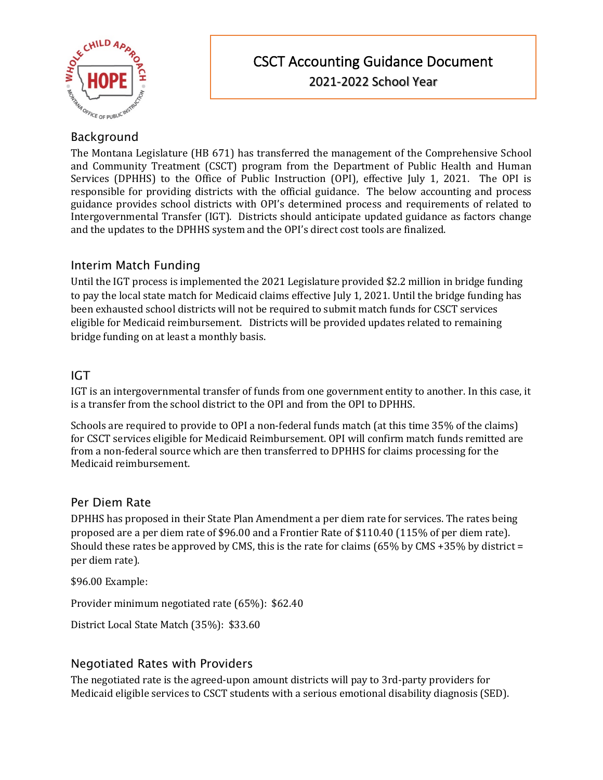

# **Background**

The Montana Legislature (HB 671) has transferred the management of the Comprehensive School and Community Treatment (CSCT) program from the Department of Public Health and Human Services (DPHHS) to the Office of Public Instruction (OPI), effective July 1, 2021. The OPI is responsible for providing districts with the official guidance. The below accounting and process guidance provides school districts with OPI's determined process and requirements of related to Intergovernmental Transfer (IGT). Districts should anticipate updated guidance as factors change and the updates to the DPHHS system and the OPI's direct cost tools are finalized.

# Interim Match Funding

Until the IGT process is implemented the 2021 Legislature provided \$2.2 million in bridge funding to pay the local state match for Medicaid claims effective July 1, 2021. Until the bridge funding has been exhausted school districts will not be required to submit match funds for CSCT services eligible for Medicaid reimbursement. Districts will be provided updates related to remaining bridge funding on at least a monthly basis.

# IGT

IGT is an intergovernmental transfer of funds from one government entity to another. In this case, it is a transfer from the school district to the OPI and from the OPI to DPHHS.

Schools are required to provide to OPI a non-federal funds match (at this time 35% of the claims) for CSCT services eligible for Medicaid Reimbursement. OPI will confirm match funds remitted are from a non-federal source which are then transferred to DPHHS for claims processing for the Medicaid reimbursement.

### Per Diem Rate

DPHHS has proposed in their State Plan Amendment a per diem rate for services. The rates being proposed are a per diem rate of \$96.00 and a Frontier Rate of \$110.40 (115% of per diem rate). Should these rates be approved by CMS, this is the rate for claims ( $65\%$  by CMS +35% by district = per diem rate).

\$96.00 Example:

Provider minimum negotiated rate (65%): \$62.40

District Local State Match (35%): \$33.60

### Negotiated Rates with Providers

The negotiated rate is the agreed-upon amount districts will pay to 3rd-party providers for Medicaid eligible services to CSCT students with a serious emotional disability diagnosis (SED).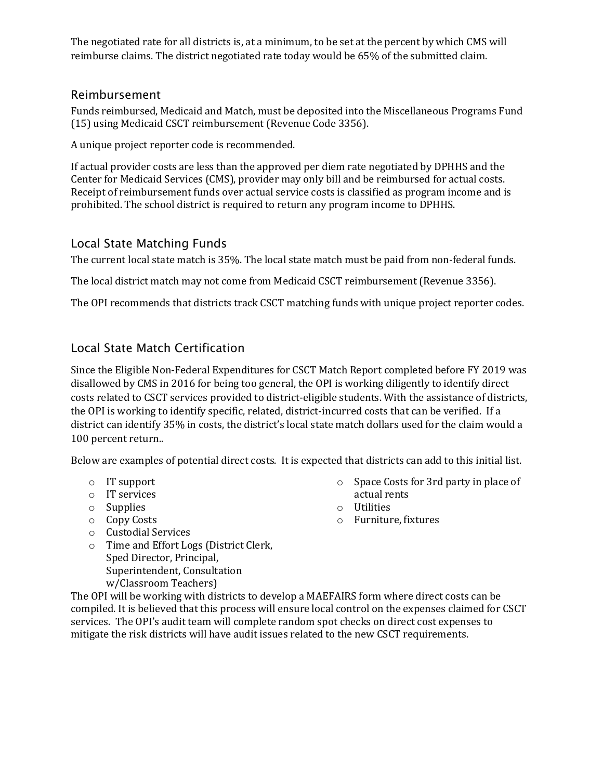The negotiated rate for all districts is, at a minimum, to be set at the percent by which CMS will reimburse claims. The district negotiated rate today would be 65% of the submitted claim.

#### Reimbursement

Funds reimbursed, Medicaid and Match, must be deposited into the Miscellaneous Programs Fund (15) using Medicaid CSCT reimbursement (Revenue Code 3356).

A unique project reporter code is recommended.

If actual provider costs are less than the approved per diem rate negotiated by DPHHS and the Center for Medicaid Services (CMS), provider may only bill and be reimbursed for actual costs. Receipt of reimbursement funds over actual service costs is classified as program income and is prohibited. The school district is required to return any program income to DPHHS.

### Local State Matching Funds

The current local state match is 35%. The local state match must be paid from non-federal funds.

The local district match may not come from Medicaid CSCT reimbursement (Revenue 3356).

The OPI recommends that districts track CSCT matching funds with unique project reporter codes.

## Local State Match Certification

Since the Eligible Non-Federal Expenditures for CSCT Match Report completed before FY 2019 was disallowed by CMS in 2016 for being too general, the OPI is working diligently to identify direct costs related to CSCT services provided to district-eligible students. With the assistance of districts, the OPI is working to identify specific, related, district-incurred costs that can be verified. If a district can identify 35% in costs, the district's local state match dollars used for the claim would a 100 percent return..

Below are examples of potential direct costs. It is expected that districts can add to this initial list.

- o IT support
- o IT services
- o Supplies
- o Copy Costs
- o Custodial Services
- o Time and Effort Logs (District Clerk, Sped Director, Principal, Superintendent, Consultation

w/Classroom Teachers)

The OPI will be working with districts to develop a MAEFAIRS form where direct costs can be compiled. It is believed that this process will ensure local control on the expenses claimed for CSCT services. The OPI's audit team will complete random spot checks on direct cost expenses to mitigate the risk districts will have audit issues related to the new CSCT requirements.

- o Space Costs for 3rd party in place of actual rents
- o Utilities
- o Furniture, fixtures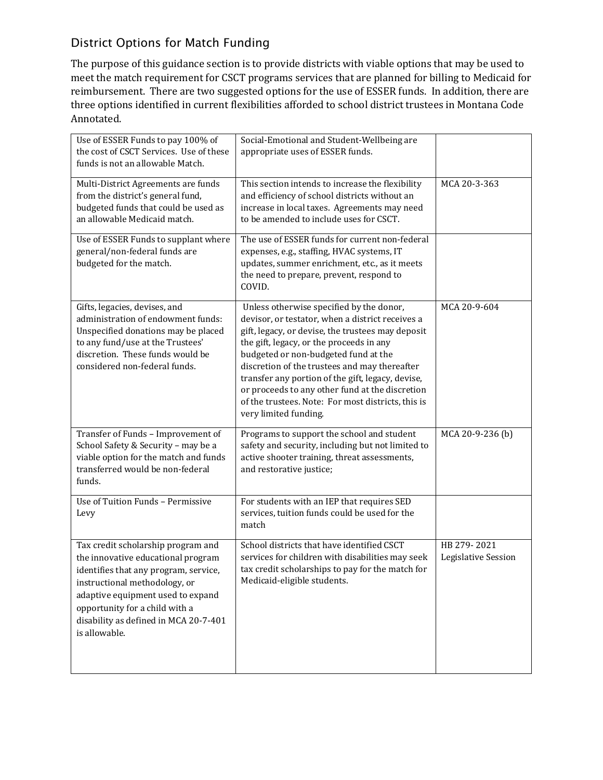# District Options for Match Funding

The purpose of this guidance section is to provide districts with viable options that may be used to meet the match requirement for CSCT programs services that are planned for billing to Medicaid for reimbursement. There are two suggested options for the use of ESSER funds. In addition, there are three options identified in current flexibilities afforded to school district trustees in Montana Code Annotated.

| Use of ESSER Funds to pay 100% of<br>the cost of CSCT Services. Use of these<br>funds is not an allowable Match.                                                                                                                                                                    | Social-Emotional and Student-Wellbeing are<br>appropriate uses of ESSER funds.                                                                                                                                                                                                                                                                                                                                                                                                |                                    |
|-------------------------------------------------------------------------------------------------------------------------------------------------------------------------------------------------------------------------------------------------------------------------------------|-------------------------------------------------------------------------------------------------------------------------------------------------------------------------------------------------------------------------------------------------------------------------------------------------------------------------------------------------------------------------------------------------------------------------------------------------------------------------------|------------------------------------|
| Multi-District Agreements are funds<br>from the district's general fund,<br>budgeted funds that could be used as<br>an allowable Medicaid match.                                                                                                                                    | This section intends to increase the flexibility<br>and efficiency of school districts without an<br>increase in local taxes. Agreements may need<br>to be amended to include uses for CSCT.                                                                                                                                                                                                                                                                                  | MCA 20-3-363                       |
| Use of ESSER Funds to supplant where<br>general/non-federal funds are<br>budgeted for the match.                                                                                                                                                                                    | The use of ESSER funds for current non-federal<br>expenses, e.g., staffing, HVAC systems, IT<br>updates, summer enrichment, etc., as it meets<br>the need to prepare, prevent, respond to<br>COVID.                                                                                                                                                                                                                                                                           |                                    |
| Gifts, legacies, devises, and<br>administration of endowment funds:<br>Unspecified donations may be placed<br>to any fund/use at the Trustees'<br>discretion. These funds would be<br>considered non-federal funds.                                                                 | Unless otherwise specified by the donor,<br>devisor, or testator, when a district receives a<br>gift, legacy, or devise, the trustees may deposit<br>the gift, legacy, or the proceeds in any<br>budgeted or non-budgeted fund at the<br>discretion of the trustees and may thereafter<br>transfer any portion of the gift, legacy, devise,<br>or proceeds to any other fund at the discretion<br>of the trustees. Note: For most districts, this is<br>very limited funding. | MCA 20-9-604                       |
| Transfer of Funds - Improvement of<br>School Safety & Security - may be a<br>viable option for the match and funds<br>transferred would be non-federal<br>funds.                                                                                                                    | Programs to support the school and student<br>safety and security, including but not limited to<br>active shooter training, threat assessments,<br>and restorative justice;                                                                                                                                                                                                                                                                                                   | MCA 20-9-236 (b)                   |
| Use of Tuition Funds - Permissive<br>Levy                                                                                                                                                                                                                                           | For students with an IEP that requires SED<br>services, tuition funds could be used for the<br>match                                                                                                                                                                                                                                                                                                                                                                          |                                    |
| Tax credit scholarship program and<br>the innovative educational program<br>identifies that any program, service,<br>instructional methodology, or<br>adaptive equipment used to expand<br>opportunity for a child with a<br>disability as defined in MCA 20-7-401<br>is allowable. | School districts that have identified CSCT<br>services for children with disabilities may seek<br>tax credit scholarships to pay for the match for<br>Medicaid-eligible students.                                                                                                                                                                                                                                                                                             | HB 279-2021<br>Legislative Session |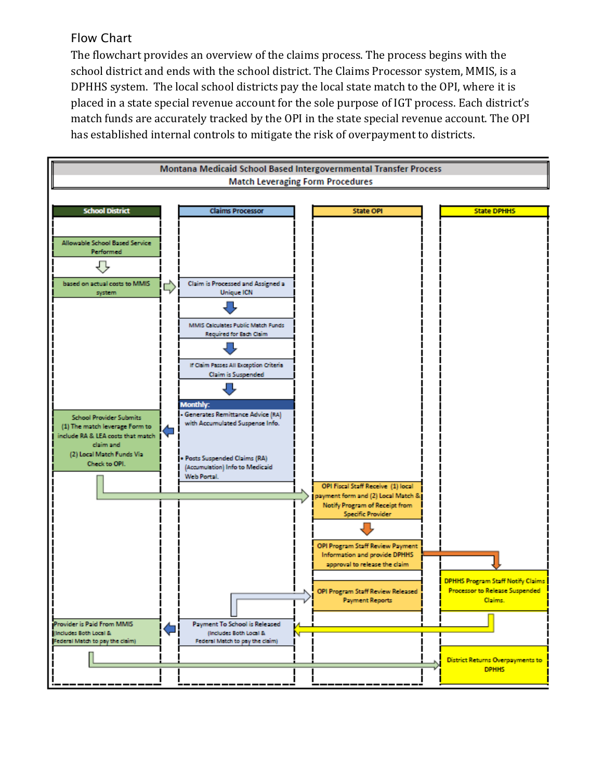# Flow Chart

The flowchart provides an overview of the claims process. The process begins with the school district and ends with the school district. The Claims Processor system, MMIS, is a DPHHS system. The local school districts pay the local state match to the OPI, where it is placed in a state special revenue account for the sole purpose of IGT process. Each district's match funds are accurately tracked by the OPI in the state special revenue account. The OPI has established internal controls to mitigate the risk of overpayment to districts.